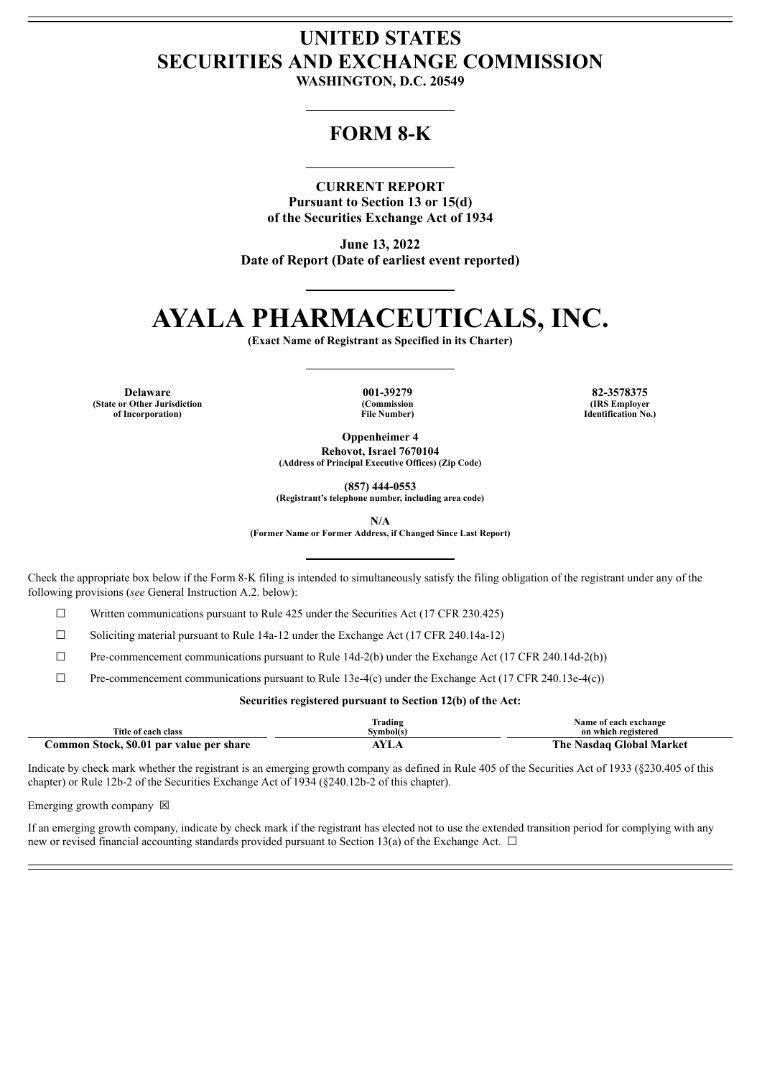## **UNITED STATES SECURITIES AND EXCHANGE COMMISSION**

**WASHINGTON, D.C. 20549**

### **FORM 8-K**

#### **CURRENT REPORT**

**Pursuant to Section 13 or 15(d) of the Securities Exchange Act of 1934**

**June 13, 2022 Date of Report (Date of earliest event reported)**

# **AYALA PHARMACEUTICALS, INC.**

**(Exact Name of Registrant as Specified in its Charter)**

**(State or Other Jurisdiction of Incorporation)**

**(Commission File Number)**

**Delaware 001-39279 82-3578375 (IRS Employer Identification No.)**

> **Oppenheimer 4 Rehovot, Israel 7670104 (Address of Principal Executive Offices) (Zip Code)**

> > **(857) 444-0553**

**(Registrant's telephone number, including area code)**

**N/A**

**(Former Name or Former Address, if Changed Since Last Report)**

Check the appropriate box below if the Form 8-K filing is intended to simultaneously satisfy the filing obligation of the registrant under any of the following provisions (*see* General Instruction A.2. below):

☐ Written communications pursuant to Rule 425 under the Securities Act (17 CFR 230.425)

☐ Soliciting material pursuant to Rule 14a-12 under the Exchange Act (17 CFR 240.14a-12)

 $\Box$  Pre-commencement communications pursuant to Rule 14d-2(b) under the Exchange Act (17 CFR 240.14d-2(b))

☐ Pre-commencement communications pursuant to Rule 13e-4(c) under the Exchange Act (17 CFR 240.13e-4(c))

#### **Securities registered pursuant to Section 12(b) of the Act:**

| Title of each class                      | Trading<br>Symbol(s) | Name of each exchange<br>on which registered |
|------------------------------------------|----------------------|----------------------------------------------|
| Common Stock, \$0.01 par value per share | AYL A                | The Nasdaq Global Market                     |

Indicate by check mark whether the registrant is an emerging growth company as defined in Rule 405 of the Securities Act of 1933 (§230.405 of this chapter) or Rule 12b-2 of the Securities Exchange Act of 1934 (§240.12b-2 of this chapter).

Emerging growth company  $\boxtimes$ 

If an emerging growth company, indicate by check mark if the registrant has elected not to use the extended transition period for complying with any new or revised financial accounting standards provided pursuant to Section 13(a) of the Exchange Act.  $\Box$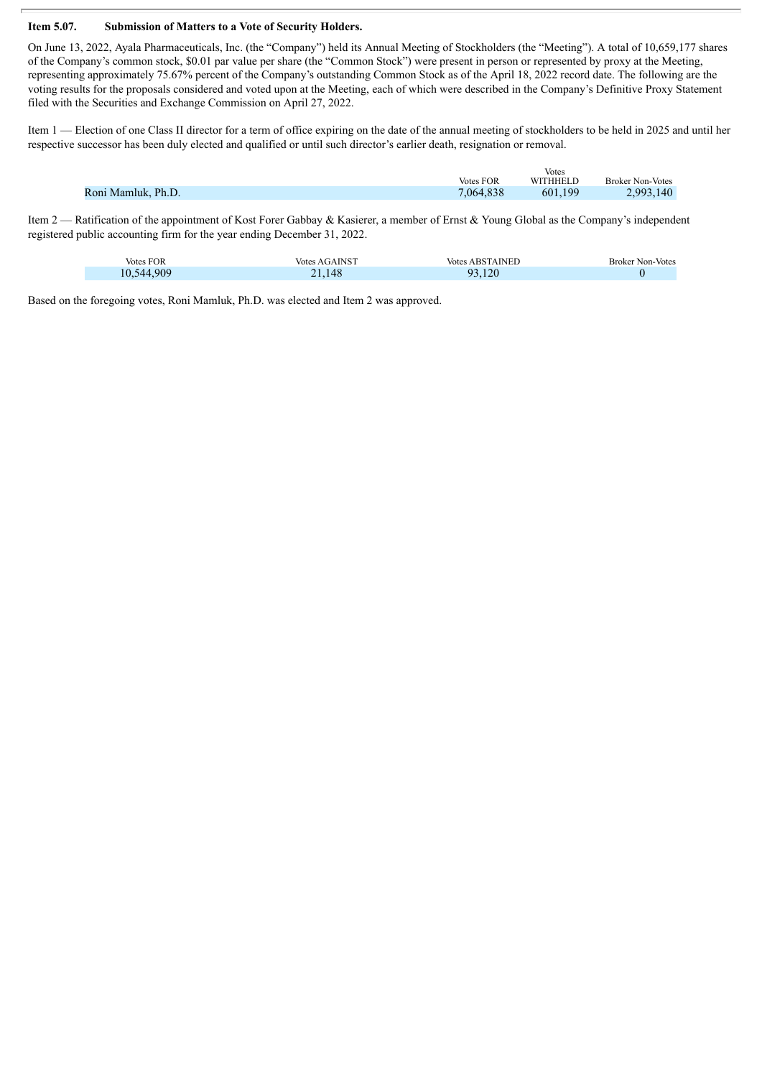### **Item 5.07. Submission of Matters to a Vote of Security Holders.**

On June 13, 2022, Ayala Pharmaceuticals, Inc. (the "Company") held its Annual Meeting of Stockholders (the "Meeting"). A total of 10,659,177 shares of the Company's common stock, \$0.01 par value per share (the "Common Stock") were present in person or represented by proxy at the Meeting, representing approximately 75.67% percent of the Company's outstanding Common Stock as of the April 18, 2022 record date. The following are the voting results for the proposals considered and voted upon at the Meeting, each of which were described in the Company's Definitive Proxy Statement filed with the Securities and Exchange Commission on April 27, 2022.

Item 1 — Election of one Class II director for a term of office expiring on the date of the annual meeting of stockholders to be held in 2025 and until her respective successor has been duly elected and qualified or until such director's earlier death, resignation or removal.

|                    |                  | Votes           |                         |
|--------------------|------------------|-----------------|-------------------------|
|                    | <b>Votes FOR</b> | <b>WITHHELD</b> | <b>Broker Non-Votes</b> |
| Roni Mamluk, Ph.D. | 7.064.838        | 601.199         | 2.993.140               |
|                    |                  |                 |                         |

Item 2 — Ratification of the appointment of Kost Forer Gabbay & Kasierer, a member of Ernst & Young Global as the Company's independent registered public accounting firm for the year ending December 31, 2022.

| <b>Votes FOR</b> | <b>Votes AGAINST</b> | <b>Votes ABSTAINED</b> | <b>Broker Non-Votes</b> |
|------------------|----------------------|------------------------|-------------------------|
| 10,544,909       | 21,148               | 93,120                 |                         |

Based on the foregoing votes, Roni Mamluk, Ph.D. was elected and Item 2 was approved.